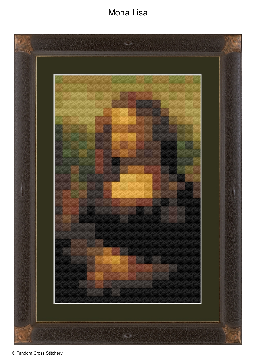## Mona Lisa

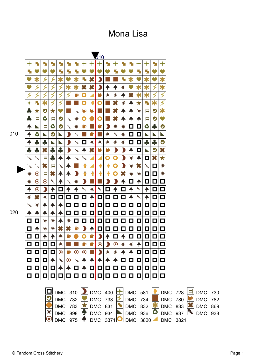## Mona Lisa